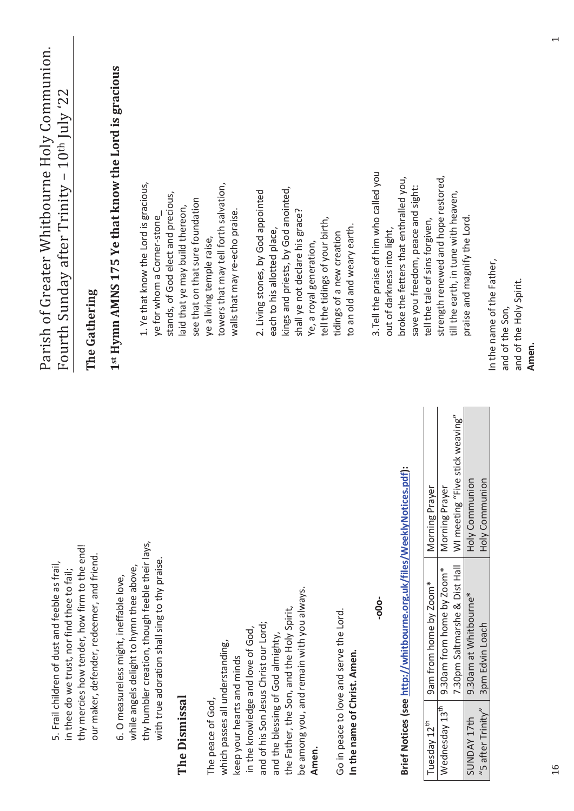| 5. Frail children of dust and feeble as frail,<br>in thee do we trust, nor find thee to fail; | Parish of Greater Whitbourne Holy Communion.<br>Fourth Sunday after Trinity – 10th July '22 |  |
|-----------------------------------------------------------------------------------------------|---------------------------------------------------------------------------------------------|--|
| thy mercies how tender, how firm to the end!<br>our maker, defender, redeemer, and friend.    | The Gathering                                                                               |  |
| while angels delight to hymn thee above,<br>6. O measureless might, ineffable love,           | 1st Hymn AMNS 175 Ye that know the Lord is gracious                                         |  |
| thy humbler creation, though feeble their lays,                                               | 1. Ye that know the Lord is gracious,                                                       |  |
| with true adoration shall sing to thy praise                                                  | ye for whom a Corner-stone                                                                  |  |
| <b>The Dismissal</b>                                                                          | stands, of God elect and precious,<br>laid that ye may build thereon,                       |  |
|                                                                                               | see that on that sure foundation                                                            |  |
| The peace of God,                                                                             | ye a living temple raise,                                                                   |  |
| which passes all understanding,                                                               | towers that may tell forth salvation,                                                       |  |
| keep your hearts and minds                                                                    | walls that may re-echo praise.                                                              |  |
| in the knowledge and love of God,                                                             |                                                                                             |  |
| and of his Son Jesus Christ our Lord;                                                         | 2. Living stones, by God appointed                                                          |  |
| and the blessing of God almighty,                                                             | each to his allotted place,                                                                 |  |
| the Father, the Son, and the Holy Spirit,                                                     | kings and priests, by God anointed,                                                         |  |
| be among you, and remain with you always.                                                     | shall ye not declare his grace?                                                             |  |
| Amen.                                                                                         | Ye, a royal generation,                                                                     |  |
|                                                                                               | tell the tidings of your birth,                                                             |  |
| Go in peace to love and serve the Lord.                                                       | tidings of a new creation                                                                   |  |
| In the name of Christ. Amen.                                                                  | to an old and weary earth.                                                                  |  |
| $-000-$                                                                                       | 3. Tell the praise of him who called you                                                    |  |
|                                                                                               | out of darkness into light,                                                                 |  |
| Brief Notices (see http://whitbourne.org.uk/files/WeeklyNotices.pdf):                         | broke the fetters that enthralled you,<br>save you freedom, peace and sight:                |  |
| Morning Prayer<br>9am from home by Zoom*<br>Tuesday 12 <sup>th</sup>                          | tell the tale of sins forgiven,                                                             |  |
| Morning Prayer<br>9.30am from home by Zoom*<br>Wednesday 13 <sup>th</sup>                     | strength renewed and hope restored,                                                         |  |
| 7.30pm Saltmarshe & Dist Hall                                                                 | till the earth, in tune with heaven,<br>WI meeting "Five stick weaving"                     |  |
| Holy Communion<br>9.30am at Whitbourne*<br>SUNDAY 17th                                        | praise and magnify the Lord                                                                 |  |
| Holy Communion<br>3pm Edvin Loach<br>"5 after Trinity"                                        |                                                                                             |  |
|                                                                                               | In the name of the Father,<br>and of the Son,                                               |  |
|                                                                                               | and of the Holy Spirit.                                                                     |  |
|                                                                                               | Amen.                                                                                       |  |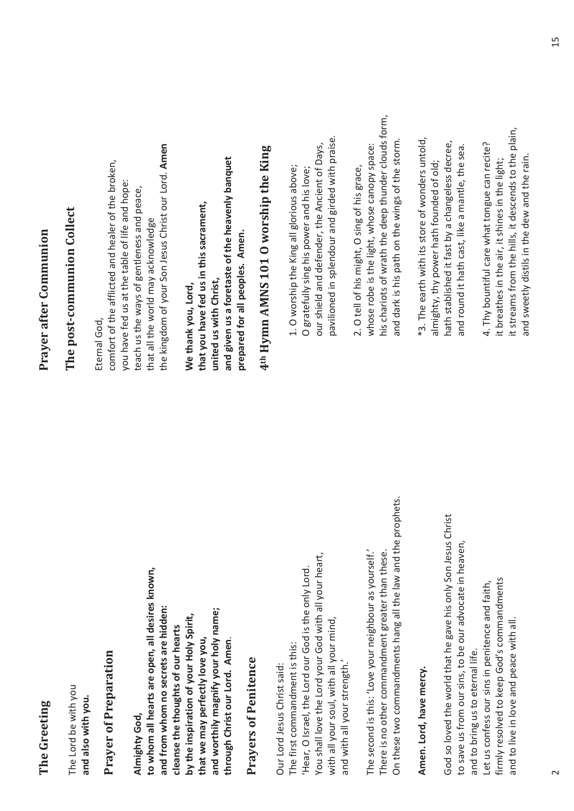#### **The Greeting**  The Greeting

The Lord be with you The Lord be with you **and also with you.**  and also with you.

### **Prayer of Preparation**  Prayer of Preparation

**to whom all hearts are open, all desires known,**  to whom all hearts are open, all desires known, **and from whom no secrets are hidden:**  and from whom no secrets are hidden: **and worthily magnify your holy name;**  and worthily magnify your holy name; **by the inspiration of your Holy Spirit,**  by the inspiration of your Holy Spirit, **cleanse the thoughts of our hearts**  cleanse the thoughts of our hearts that we may perfectly love you, **that we may perfectly love you,**  through Christ our Lord. Amen. **through Christ our Lord. Almighty God,**  Almighty God,

### **Prayers of Penitence Prayers of Penitence**

You shall love the Lord your God with all your heart, You shall love the Lord your God with all your heart, 'Hear, O Israel, the Lord our God is the only Lord. 'Hear, O Israel, the Lord our God is the only Lord. with all your soul, with all your mind, with all your soul, with all your mind, The first commandment is this: The first commandment is this: and with all your strength.' Our Lord Jesus Christ said: Our Lord Jesus Christ said: and with all your strength.'

On these two commandments hang all the law and the prophets. On these two commandments hang all the law and the prophets. The second is this: 'Love your neighbour as yourself.' There is no other commandment greater than these. There is no other commandment greater than these. The second is this: 'Love your neighbour as yourself.'

### Amen. Lord, have mercy. **Amen. Lord, have mercy.**

God so loved the world that he gave his only Son Jesus Christ God so loved the world that he gave his only Son Jesus Christ to save us from our sins, to be our advocate in heaven, to save us from our sins, to be our advocate in heaven firmly resolved to keep God's commandments Let us confess our sins in penitence and faith, firmly resolved to keep God's commandments Let us confess our sins in penitence and faith, and to live in love and peace with all. and to live in love and peace with all. and to bring us to eternal life. and to bring us to eternal life.

### **Prayer after Communion**  Prayer after Communion

## **The post-communion Collect**  The post-communion Collect

Eternal God, Eternal God,

the kingdom of your Son Jesus Christ our Lord. Amen the kingdom of your Son Jesus Christ our Lord. **Amen** comfort of the afflicted and healer of the broken, comfort of the afflicted and healer of the broken, you have fed us at the table of life and hope: ou have fed us at the table of life and hope: teach us the ways of gentleness and peace, reach us the ways of gentleness and peace, that all the world may acknowledge that all the world may acknowledge

**and given us a foretaste of the heavenly banquet**  and given us a foretaste of the heavenly banquet **that you have fed us in this sacrament,**  that you have fed us in this sacrament, **prepared for all peoples. Amen.**  prepared for all peoples. Amen. united us with Christ, **united us with Christ, We thank you, Lord,**  We thank you, Lord,

## **4th Hymn AMNS 101 O worship the King**  4<sup>th</sup> Hymn AMNS 101 O worship the King

pavilioned in splendour and girded with praise. pavilioned in splendour and girded with praise. our shield and defender, the Ancient of Days, our shield and defender, the Ancient of Days, 1. O worship the King all glorious above; O gratefully sing his power and his love; 1. O worship the King all glorious above; O gratefully sing his power and his love;

his chariots of wrath the deep thunder clouds form, his chariots of wrath the deep thunder clouds form, and dark is his path on the wings of the storm. and dark is his path on the wings of the storm whose robe is the light, whose canopy space: whose robe is the light, whose canopy space: 2. O tell of his might, O sing of his grace, 2. O tell of his might, O sing of his grace,

\*3. The earth with its store of wonders untold, \*3. The earth with its store of wonders untold, hath stablished it fast by a changeless decree, hath stablished it fast by a changeless decree, and round it hath cast, like a mantle, the sea. and round it hath cast, like a mantle, the sea. almighty, thy power hath founded of old; almighty, thy power hath founded of old;

it streams from the hills, it descends to the plain, it streams from the hills, it descends to the plain, 4. Thy bountiful care what tongue can recite? 4. Thy bountiful care what tongue can recite? and sweetly distils in the dew and the rain. and sweetly distils in the dew and the rain. it breathes in the air, it shines in the light; it breathes in the air, it shines in the light;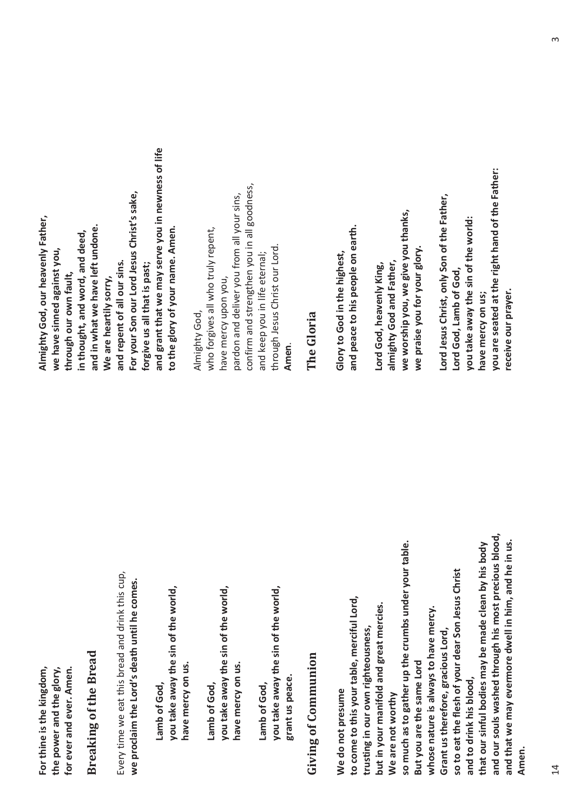**For thine is the kingdom, for ever and ever. Amen.**  For thine is the kingdom, the power and the glory, **the power and the glory,**  for ever and ever. Amen.

### **Breaking of the Bread Breaking of the Bread**

Every time we eat this bread and drink this cup, Every time we eat this bread and drink this cup,  **until he comes.**  we proclaim the Lord's death until he comes. **we proclaim the Lord's death**

**you take away the sin of the world,**  you take away the sin of the world, **have mercy on us.**  have mercy on us. Lamb of God, **Lamb of God,** 

**you take away the sin of the world,**  you take away the sin of the world, **have mercy on us.**  have mercy on us. Lamb of God, **Lamb of God,** 

**you take away the sin of the world,**  you take away the sin of the world, **grant us peace.**  grant us peace. Lamb of God, **Lamb of God,** 

### **Giving of Communion**  Giving of Communion

**and our souls washed through his most precious blood,**  and our souls washed through his most precious blood, **and that we may evermore dwell in him, and he in us. so much as to gather up the crumbs under your table. that our sinful bodies may be made clean by his body**  so much as to gather up the crumbs under your table. that our sinful bodies may be made clean by his body and that we may evermore dwell in him, and he in us. **so to eat the flesh of your dear Son Jesus Christ**  so to eat the flesh of your dear Son Jesus Christ **to come to this your table, merciful Lord,**  to come to this your table, merciful Lord, **but in your manifold and great mercies.**  but in your manifold and great mercies. **whose nature is always to have mercy.**  whose nature is always to have mercy. **trusting in our own righteousness, Grant us therefore, gracious Lord,**  trusting in our own righteousness, Grant us therefore, gracious Lord, But you are the same Lord **But you are the same Lord**  and to drink his blood, **and to drink his blood,**  We do not presume **We do not presume**  We are not worthy **We are not worthy Amen.** 

**and grant that we may serve you in newness of life**  and grant that we may serve you in newness of life For your Son our Lord Jesus Christ's sake, **For your Son our Lord Jesus Christ's sake, Almighty God, our heavenly Father,**  Almighty God, our heavenly Father, **and in what we have left undone. to the glory of your name. Amen.**  and in what we have left undone. the glory of your name. Amen. **in thought, and word, and deed,**  in thought, and word, and deed, **we have sinned against you,**  we have sinned against you, **and repent of all our sins.**  and repent of all our sins. **forgive us all that is past;**  forgive us all that is past; **through our own fault,**  through our own fault, **We are heartily sorry,**  We are heartily sorry,

Almighty God, Almighty God,

confirm and strengthen you in all goodness, confirm and strengthen you in all goodness, pardon and deliver you from all your sins, pardon and deliver you from all your sins, who forgives all who truly repent, who forgives all who truly repent, through Jesus Christ our Lord. through Jesus Christ our Lord. and keep you in life eternal; and keep you in life eternal; have mercy upon you, have mercy upon you, **Amen**.

**The Gloria**  The Gloria

**and peace to his people on earth.**  and peace to his people on earth. **Glory to God in the highest,**  Glory to God in the highest,

**we worship you, we give you thanks,**  we worship you, we give you thanks, **we praise you for your glory.**  we praise you for your glory. **almighty God and Father, Lord God, heavenly King,**  Lord God, heavenly King, almighty God and Father,

**you are seated at the right hand of the Father:**  you are seated at the right hand of the Father: **Lord Jesus Christ, only Son of the Father,**  Lord Jesus Christ, only Son of the Father, **you take away the sin of the world:**  you take away the sin of the world: **Lord God, Lamb of God,**  Lord God, Lamb of God, **receive our prayer.**  receive our prayer. **have mercy on us;**  have mercy on us;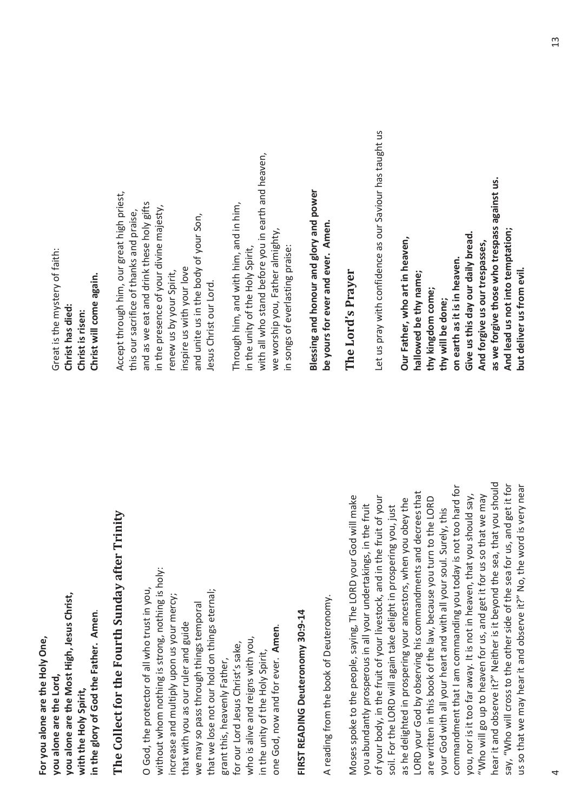**you alone are the Most High, Jesus Christ,**  you alone are the Most High, Jesus Christ, in the glory of God the Father. Amen. **in the glory of God the Father. Amen For you alone are the Holy One,**  For you alone are the Holy One, **you alone are the Lord,**  you alone are the Lord, with the Holy Spirit, **with the Holy Spirit,** 

# **The Collect for the Fourth Sunday after Trinity**  The Collect for the Fourth Sunday after Trinity

without whom nothing is strong, nothing is holy: without whom nothing is strong, nothing is holy: O God, the protector of all who trust in you, O God, the protector of all who trust in you, that we lose not our hold on things eternal; that we lose not our hold on things eternal; increase and multiply upon us your mercy; increase and multiply upon us your mercy; we may so pass through things temporal we may so pass through things temporal that with you as our ruler and guide that with you as our ruler and guide one God, now and for ever. **Amen**. one God, now and for ever. Amen. who is alive and reigns with you, who is alive and reigns with you, for our Lord Jesus Christ's sake, for our Lord Jesus Christ's sake, in the unity of the Holy Spirit, in the unity of the Holy Spirit, grant this, heavenly Father, grant this, heavenly Father,

## **FIRST READING Deuteronomy 30:9-14**  FIRST READING Deuteronomy 30:9-14

A reading from the book of Deuteronomy. A reading from the book of Deuteronomy

hear it and observe it?" Neither is it beyond the sea, that you should hear it and observe it?" Neither is it beyond the sea, that you should commandment that I am commanding you today is not too hard for say, "Who will cross to the other side of the sea for us, and get it for say, "Who will cross to the other side of the sea for us, and get it for us so that we may hear it and observe it?" No, the word is very near us so that we may hear it and observe it?" No, the word is very nearcommandment that I am commanding you today is not too hard for LORD your God by observing his commandments and decrees that LORD your God by observing his commandments and decrees that you, nor is it too far away. It is not in heaven, that you should say, Moses spoke to the people, saying, The LORD your God will make of your body, in the fruit of your livestock, and in the fruit of your ou, nor is it too far away. It is not in heaven, that you should say, Moses spoke to the people, saying, The LORD your God will make are written in this book of the law, because you turn to the LORD "Who will go up to heaven for us, and get it for us so that we may "Who will go up to heaven for us, and get it for us so that we may as he delighted in prospering your ancestors, when you obey the are written in this book of the law, because you turn to the LORD of your body, in the fruit of your livestock, and in the fruit of your as he delighted in prospering your ancestors, when you obey the you abundantly prosperous in all your undertakings, in the fruit you abundantly prosperous in all your undertakings, in the fruit soil. For the LORD will again take delight in prospering you, just soil. For the LORD will again take delight in prospering you, just your God with all your heart and with all your soul. Surely, this your God with all your heart and with all your soul. Surely, this

Great is the mystery of faith: Great is the mystery of faith: **Christ will come again.**  Christ will come again. **Christ has died:**  Christ has died: **Christ is risen:**  Christ is risen:

Accept through him, our great high priest, Accept through him, our great high priest, and as we eat and drink these holy gifts and as we eat and drink these holy gifts in the presence of your divine majesty, n the presence of your divine majesty, this our sacrifice of thanks and praise, this our sacrifice of thanks and praise, and unite us in the body of your Son, and unite us in the body of your Son, nspire us with your love inspire us with your love renew us by your Spirit, enew us by your Spirit, Jesus Christ our Lord. lesus Christ our Lord.

with all who stand before you in earth and heaven, with all who stand before you in earth and heaven, Through him, and with him, and in him, Through him, and with him, and in him, we worship you, Father almighty, we worship you, Father almighty, in songs of everlasting praise: n the unity of the Holy Spirit, in the unity of the Holy Spirit, n songs of everlasting praise:

**Blessing and honour and glory and power**  Blessing and honour and glory and power **be yours for ever and ever. Amen.**  be yours for ever and ever. Amen.

**The Lord's Prayer**  The Lord's Prayer

et us pray with confidence as our Saviour has taught us Let us pray with confidence as our Saviour has taught us

**as we forgive those who trespass against us.**  as we forgive those who trespass against us. **And lead us not into temptation; Give us this day our daily bread.**  And lead us not into temptation; Give us this day our daily bread. **Our Father, who art in heaven,**  Our Father, who art in heaven, **And forgive us our trespasses,**  And forgive us our trespasses, **on earth as it is in heaven.**  on earth as it is in heaven. **but deliver us from evil. hallowed be thy name;**  out deliver us from evil. hallowed be thy name; **thy kingdom come;**  thy kingdom come; **thy will be done;**  thy will be done;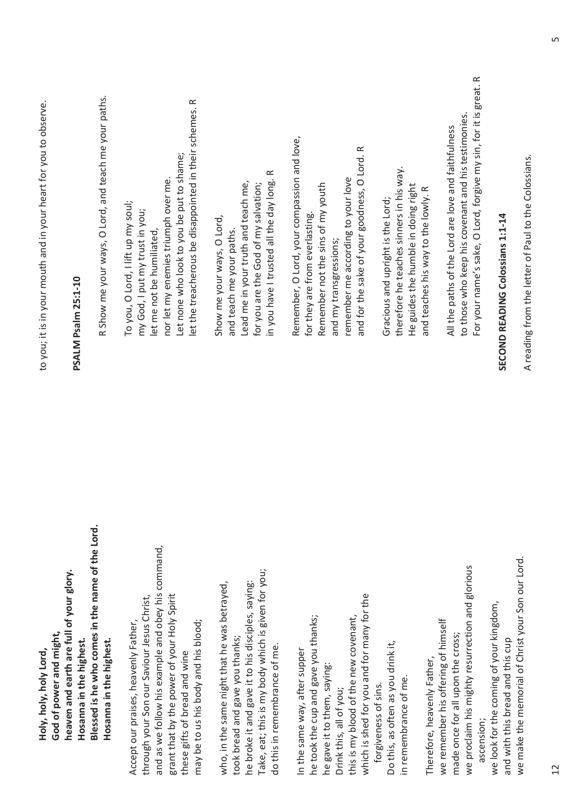| Holy, holy, holy Lord,                                                                                                                                                                                                                                           | to you; it is in your mouth and in your heart for you to observe.                                                                                                                                                                                |
|------------------------------------------------------------------------------------------------------------------------------------------------------------------------------------------------------------------------------------------------------------------|--------------------------------------------------------------------------------------------------------------------------------------------------------------------------------------------------------------------------------------------------|
| God of power and might,                                                                                                                                                                                                                                          |                                                                                                                                                                                                                                                  |
| heaven and earth are full of your glory.<br>Hosanna in the highest.                                                                                                                                                                                              | PSALM Psalm 25:1-10                                                                                                                                                                                                                              |
| Blessed is he who comes in the name of the Lord.<br>Hosanna in the highest.                                                                                                                                                                                      | R Show me your ways, O Lord, and teach me your paths.                                                                                                                                                                                            |
| and as we follow his example and obey his command,<br>grant that by the power of your Holy Spirit<br>through your Son our Saviour Jesus Christ,<br>may be to us his body and his blood;<br>Accept our praises, heavenly Father,<br>these gifts of bread and wine | let the treacherous be disappointed in their schemes. R<br>Let none who look to you be put to shame;<br>nor let my enemies triumph over me.<br>To you, O Lord, I lift up my soul;<br>my God, I put my trust in you;<br>let me not be humiliated, |
| Take, eat; this is my body which is given for you;<br>he broke it and gave it to his disciples, saying:<br>who, in the same night that he was betrayed,<br>took bread and gave you thanks;<br>do this in remembrance of me.                                      | ∝<br>in you have I trusted all the day long.<br>Lead me in your truth and teach me,<br>for you are the God of my salvation;<br>Show me your ways, O Lord,<br>and teach me your paths.                                                            |
| which is shed for you and for many for the<br>he took the cup and gave you thanks;<br>this is my blood of the new covenant,<br>In the same way, after supper<br>he gave it to them, saying:<br>Drink this, all of you;                                           | Remember, O Lord, your compassion and love,<br>and for the sake of your goodness, O Lord. R<br>remember me according to your love<br>Remember not the sins of my youth<br>for they are from everlasting.<br>and my transgressions;               |
| Do this, as often as you drink it,<br>in remembrance of me.<br>forgiveness of sins.                                                                                                                                                                              | therefore he teaches sinners in his way.<br>He guides the humble in doing right<br>Gracious and upright is the Lord;                                                                                                                             |
| we proclaim his mighty resurrection and glorious<br>we remember his offering of himself<br>made once for all upon the cross;<br>Therefore, heavenly Father,<br>ascension;                                                                                        | For your name's sake, O Lord, forgive my sin, for it is great. R<br>to those who keep his covenant and his testimonies.<br>All the paths of the Lord are love and faithfulness<br>and teaches his way to the lowly. R                            |
| we make the memorial of Christ your Son our Lord.<br>we look for the coming of your kingdom,<br>and with this bread and this cup                                                                                                                                 | A reading from the letter of Paul to the Colossians.<br>SECOND READING Colossians 1:1-14                                                                                                                                                         |

 $\overline{5}$ 

12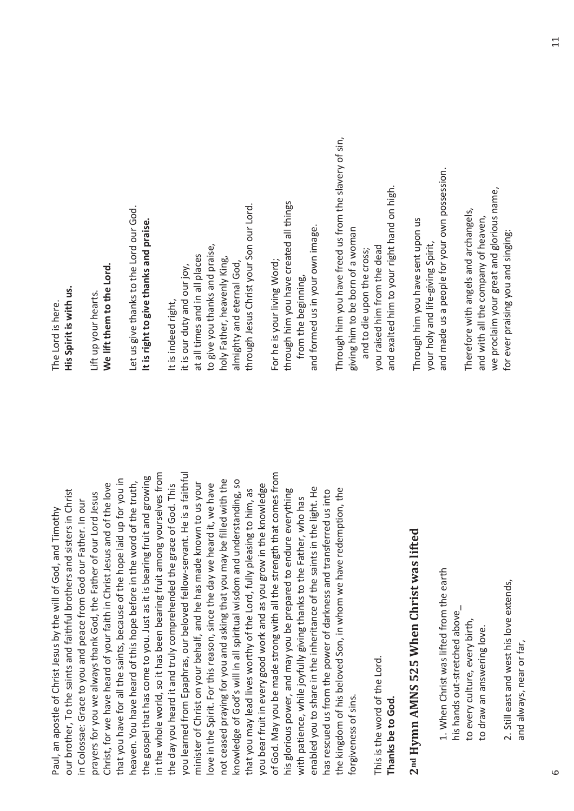in the whole world, so it has been bearing fruit among yourselves from you learned from Epaphras, our beloved fellow-servant. He is a faithful of God. May you be made strong with all the strength that comes from in the whole world, so it has been bearing fruit among yourselves from of God. May you be made strong with all the strength that comes from the gospel that has come to you. Just as it is bearing fruit and growing you learned from Epaphras, our beloved fellow-servant. He is a faithful the gospel that has come to you. Just as it is bearing fruit and growing that you have for all the saints, because of the hope laid up for you in that you have for all the saints, because of the hope laid up for you in not ceased praying for you and asking that you may be filled with the knowledge of God's will in all spiritual wisdom and understanding, so heaven. You have heard of this hope before in the word of the truth, neaven. You have heard of this hope before in the word of the truth, minister of Christ on your behalf, and he has made known to us your not ceased praying for you and asking that you may be filled with the knowledge of God's will in all spiritual wisdom and understanding, so Christ, for we have heard of your faith in Christ Jesus and of the love Christ, for we have heard of your faith in Christ Jesus and of the love the day you heard it and truly comprehended the grace of God. This love in the Spirit. For this reason, since the day we heard it, we have you bear fruit in every good work and as you grow in the knowledge you bear fruit in every good work and as you grow in the knowledge the day you heard it and truly comprehended the grace of God. This minister of Christ on your behalf, and he has made known to us your ove in the Spirit. For this reason, since the day we heard it, we have enabled you to share in the inheritance of the saints in the light. He enabled you to share in the inheritance of the saints in the light. He his glorious power, and may you be prepared to endure everything the kingdom of his beloved Son, in whom we have redemption, the our brother, To the saints and faithful brothers and sisters in Christ our brother, To the saints and faithful brothers and sisters in Christ that you may lead lives worthy of the Lord, fully pleasing to him, as that you may lead lives worthy of the Lord, fully pleasing to him, as his glorious power, and may you be prepared to endure everything the kingdom of his beloved Son, in whom we have redemption, the has rescued us from the power of darkness and transferred us into has rescued us from the power of darkness and transferred us into prayers for you we always thank God, the Father of our Lord Jesus prayers for you we always thank God, the Father of our Lord Jesus with patience, while joyfully giving thanks to the Father, who has with patience, while joyfully giving thanks to the Father, who has in Colossae: Grace to you and peace from God our Father. In our n Colossae: Grace to you and peace from God our Father. In our Paul, an apostle of Christ Jesus by the will of God, and Timothy Paul, an apostle of Christ Jesus by the will of God, and forgiveness of sins. orgiveness of sins.

This is the word of the Lord. This is the word of the Lord. **Thanks be to God.**  Thanks be to God.

# **2nd Hymn AMNS 525 When Christ was lifted**  2<sup>nd</sup> Hymn AMNS 525 When Christ was lifted

1. When Christ was lifted from the earth 1. When Christ was lifted from the earth his hands out-stretched above his hands out-stretched above\_ to every culture, every birth, to every culture, every birth, to draw an answering love. to draw an answering love.

2. Still east and west his love extends, 2. Still east and west his love extends, and always, near or far, and always, near or far,

**His Spirit is with us.**  His Spirit is with us. The Lord is here. The Lord is here.

**We lift them to the Lord.**  We lift them to the Lord. Lift up your hearts. Lift up your hearts.

Let us give thanks to the Lord our God. et us give thanks to the Lord our God. **It is right to give thanks and praise.**  It is right to give thanks and praise.

through Jesus Christ your Son our Lord. through Jesus Christ your Son our Lord. to give you thanks and praise, to give you thanks and praise, at all times and in all places at all times and in all places holy Father, heavenly King, noly Father, heavenly King, almighty and eternal God, it is our duty and our joy, almighty and eternal God, t is our duty and our joy, It is indeed right, It is indeed right,

through him you have created all things through him you have created all things and formed us in your own image. and formed us in your own image. For he is your living Word; For he is your living Word; from the beginning, from the beginning,

Through him you have freed us from the slavery of sin, Through him you have freed us from the slavery of sin, and exalted him to your right hand on high. and exalted him to your right hand on high. giving him to be born of a woman giving him to be born of a woman you raised him from the dead you raised him from the dead and to die upon the cross; and to die upon the cross;

and made us a people for your own possession. and made us a people for your own possession. Through him you have sent upon us Through him you have sent upon us your holy and life-giving Spirit, your holy and life-giving Spirit,

we proclaim your great and glorious name, we proclaim your great and glorious name, Therefore with angels and archangels, Therefore with angels and archangels, and with all the company of heaven, and with all the company of heaven, for ever praising you and singing: for ever praising you and singing: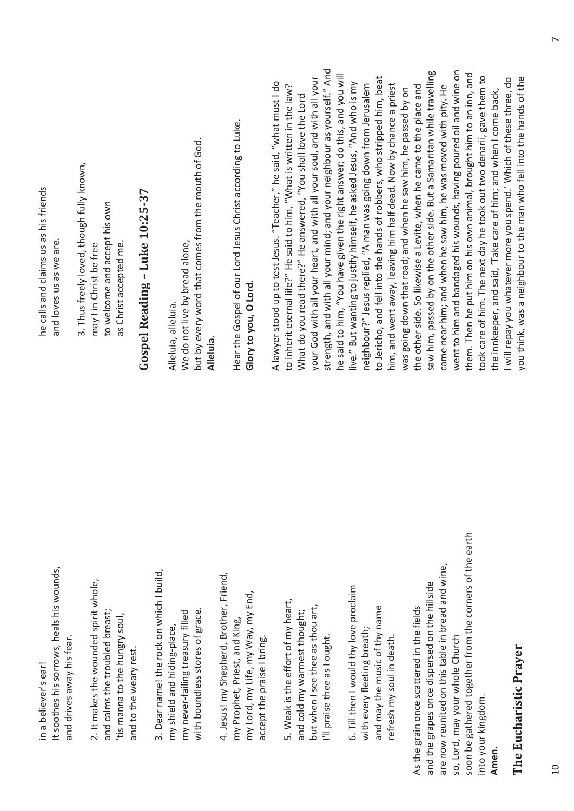It soothes his sorrows, heals his wounds, It soothes his sorrows, heals his wounds, and drives away his fear. and drives away his fear. n a believer's ear! in a believer's ear!

2. It makes the wounded spirit whole, 2. It makes the wounded spirit whole, and calms the troubled breast; and calms the troubled breast; 'tis manna to the hungry soul, tis manna to the hungry soul, and to the weary rest. and to the weary rest.

3. Dear name! the rock on which I build, 3. Dear name! the rock on which I build, with boundless stores of grace. my never-failing treasury filled with boundless stores of grace. my never-failing treasury filled my shield and hiding-place, my shield and hiding-place,

4. Jesus! my Shepherd, Brother, Friend, 4. Jesus! my Shepherd, Brother, Friend, my Lord, my Life, my Way, my End, my Lord, my Life, my Way, my End, my Prophet, Priest, and King, my Prophet, Priest, and King, accept the praise I bring. accept the praise I bring.

5. Weak is the effort of my heart, 5. Weak is the effort of my heart, but when I see thee as thou art, but when I see thee as thou art, and cold my warmest thought; and cold my warmest thought; I'll praise thee as I ought. I'll praise thee as I ought.

6. Till then I would thy love proclaim 6. Till then I would thy love proclaim and may the music of thy name and may the music of thy name with every fleeting breath; with every fleeting breath; refresh my soul in death. refresh my soul in death.

soon be gathered together from the corners of the earth soon be gathered together from the corners of the earth are now reunited on this table in bread and wine, are now reunited on this table in bread and wine, and the grapes once dispersed on the hillside and the grapes once dispersed on the hillside As the grain once scattered in the fields As the grain once scattered in the fields so, Lord, may your whole Church so, Lord, may your whole Church into your kingdom. into your kingdom. **Amen.** 

### **The Eucharistic Prayer** The Eucharistic Prayer

he calls and claims us as his friends he calls and claims us as his friends and loves us as we are. and loves us as we are.

3. Thus freely loved, though fully known, 3. Thus freely loved, though fully known, to welcome and accept his own to welcome and accept his own as Christ accepted me. may I in Christ be free as Christ accepted me. may I in Christ be free

## **Gospel Reading – Luke 10:25-37**  Gospel Reading - Luke 10:25-37

but by every word that comes from the mouth of God. but by every word that comes from the mouth of God. We do not live by bread alone, We do not live by bread alone, Alleluia, alleluia. Alleluia, alleluia. **Alleluia**.

Hear the Gospel of our Lord Jesus Christ according to Luke. Hear the Gospel of our Lord Jesus Christ according to Luke. **Glory to you, O Lord.**  Glory to you, O Lord

strength, and with all your mind; and your neighbour as yourself." And went to him and bandaged his wounds, having poured oil and wine on saw him, passed by on the other side. But a Samaritan while travelling strength, and with all your mind; and your neighbour as yourself." And saw him, passed by on the other side. But a Samaritan while travelling went to him and bandaged his wounds, having poured oil and wine on them. Then he put him on his own animal, brought him to an inn, and ne said to him, "You have given the right answer; do this, and you will them. Then he put him on his own animal, brought him to an inn, and he said to him, "You have given the right answer; do this, and you will to Jericho, and fell into the hands of robbers, who stripped him, beat took care of him. The next day he took out two denarii, gave them to your God with all your heart, and with all your soul, and with all your cook care of him. The next day he took out two denarii, gave them to you think, was a neighbour to the man who fell into the hands of the you think, was a neighbour to the man who fell into the hands of the your God with all your heart, and with all your soul, and with all your to Jericho, and fell into the hands of robbers, who stripped him, beat will repay you whatever more you spend.' Which of these three, do I will repay you whatever more you spend.' Which of these three, do A lawyer stood up to test Jesus. "Teacher," he said, "what must I do live." But wanting to justify himself, he asked Jesus, "And who is my him, and went away, leaving him half dead. Now by chance a priest A lawyer stood up to test Jesus. "Teacher," he said, "what must I do live." But wanting to justify himself, he asked Jesus, "And who is my neighbour?" Jesus replied, "A man was going down from Jerusalem nim, and went away, leaving him half dead. Now by chance a priest the other side. So likewise a Levite, when he came to the place and came near him; and when he saw him, he was moved with pity. He came near him; and when he saw him, he was moved with pity. He to inherit eternal life?" He said to him, "What is written in the law? the other side. So likewise a Levite, when he came to the place and to inherit eternal life?" He said to him, "What is written in the law? neighbour?" Jesus replied, "A man was going down from Jerusalem was going down that road; and when he saw him, he passed by on was going down that road; and when he saw him, he passed by on the innkeeper, and said, 'Take care of him; and when I come back, the innkeeper, and said, 'Take care of him; and when I come back, What do you read there?" He answered, "You shall love the Lord What do you read there?" He answered, "You shall love the Lord